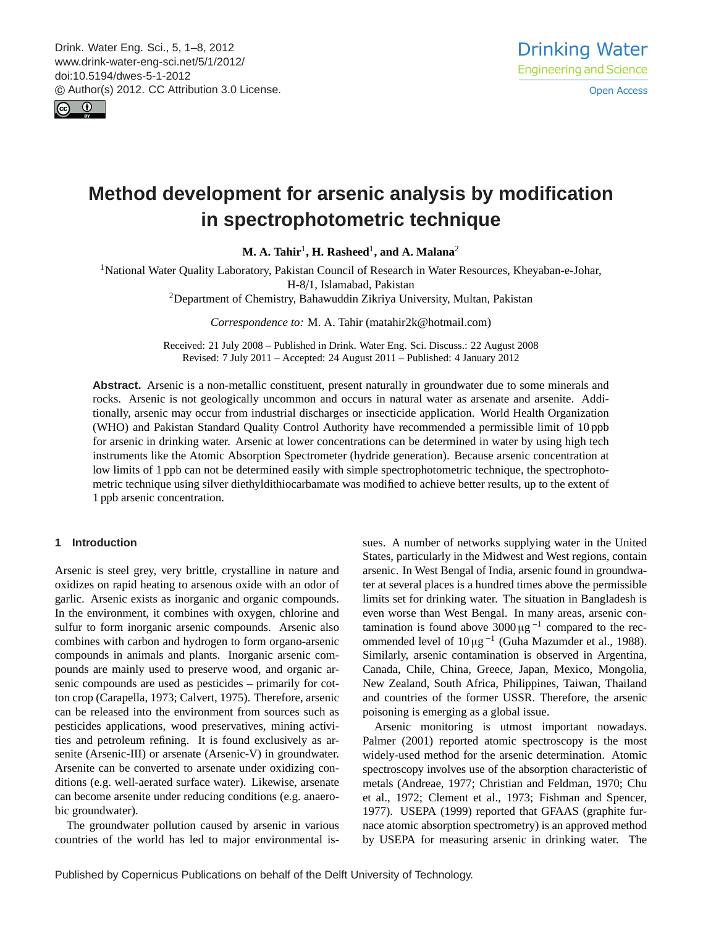<span id="page-0-0"></span>Drink. Water Eng. Sci., 5, 1–8, 2012 www.drink-water-eng-sci.net/5/1/2012/ doi:10.5194/dwes-5-1-2012 © Author(s) 2012. CC Attribution 3.0 License.



# **Method development for arsenic analysis by modification in spectrophotometric technique**

**M. A. Tahir**<sup>1</sup> **, H. Rasheed**<sup>1</sup> **, and A. Malana**<sup>2</sup>

<sup>1</sup>National Water Quality Laboratory, Pakistan Council of Research in Water Resources, Kheyaban-e-Johar, H-8/1, Islamabad, Pakistan

<sup>2</sup>Department of Chemistry, Bahawuddin Zikriya University, Multan, Pakistan

*Correspondence to:* M. A. Tahir (matahir2k@hotmail.com)

Received: 21 July 2008 – Published in Drink. Water Eng. Sci. Discuss.: 22 August 2008 Revised: 7 July 2011 – Accepted: 24 August 2011 – Published: 4 January 2012

**Abstract.** Arsenic is a non-metallic constituent, present naturally in groundwater due to some minerals and rocks. Arsenic is not geologically uncommon and occurs in natural water as arsenate and arsenite. Additionally, arsenic may occur from industrial discharges or insecticide application. World Health Organization (WHO) and Pakistan Standard Quality Control Authority have recommended a permissible limit of 10 ppb for arsenic in drinking water. Arsenic at lower concentrations can be determined in water by using high tech instruments like the Atomic Absorption Spectrometer (hydride generation). Because arsenic concentration at low limits of 1 ppb can not be determined easily with simple spectrophotometric technique, the spectrophotometric technique using silver diethyldithiocarbamate was modified to achieve better results, up to the extent of 1 ppb arsenic concentration.

## **1 Introduction**

Arsenic is steel grey, very brittle, crystalline in nature and oxidizes on rapid heating to arsenous oxide with an odor of garlic. Arsenic exists as inorganic and organic compounds. In the environment, it combines with oxygen, chlorine and sulfur to form inorganic arsenic compounds. Arsenic also combines with carbon and hydrogen to form organo-arsenic compounds in animals and plants. Inorganic arsenic compounds are mainly used to preserve wood, and organic arsenic compounds are used as pesticides – primarily for cotton crop (Carapella, 1973; Calvert, 1975). Therefore, arsenic can be released into the environment from sources such as pesticides applications, wood preservatives, mining activities and petroleum refining. It is found exclusively as arsenite (Arsenic-III) or arsenate (Arsenic-V) in groundwater. Arsenite can be converted to arsenate under oxidizing conditions (e.g. well-aerated surface water). Likewise, arsenate can become arsenite under reducing conditions (e.g. anaerobic groundwater).

The groundwater pollution caused by arsenic in various countries of the world has led to major environmental issues. A number of networks supplying water in the United States, particularly in the Midwest and West regions, contain arsenic. In West Bengal of India, arsenic found in groundwater at several places is a hundred times above the permissible limits set for drinking water. The situation in Bangladesh is even worse than West Bengal. In many areas, arsenic contamination is found above  $3000 \,\mathrm{\upmu}\mathrm{g}^{-1}$  compared to the recommended level of  $10 \mu g^{-1}$  (Guha Mazumder et al., 1988). Similarly, arsenic contamination is observed in Argentina, Canada, Chile, China, Greece, Japan, Mexico, Mongolia, New Zealand, South Africa, Philippines, Taiwan, Thailand and countries of the former USSR. Therefore, the arsenic poisoning is emerging as a global issue.

Arsenic monitoring is utmost important nowadays. Palmer (2001) reported atomic spectroscopy is the most widely-used method for the arsenic determination. Atomic spectroscopy involves use of the absorption characteristic of metals (Andreae, 1977; Christian and Feldman, 1970; Chu et al., 1972; Clement et al., 1973; Fishman and Spencer, 1977). USEPA (1999) reported that GFAAS (graphite furnace atomic absorption spectrometry) is an approved method by USEPA for measuring arsenic in drinking water. The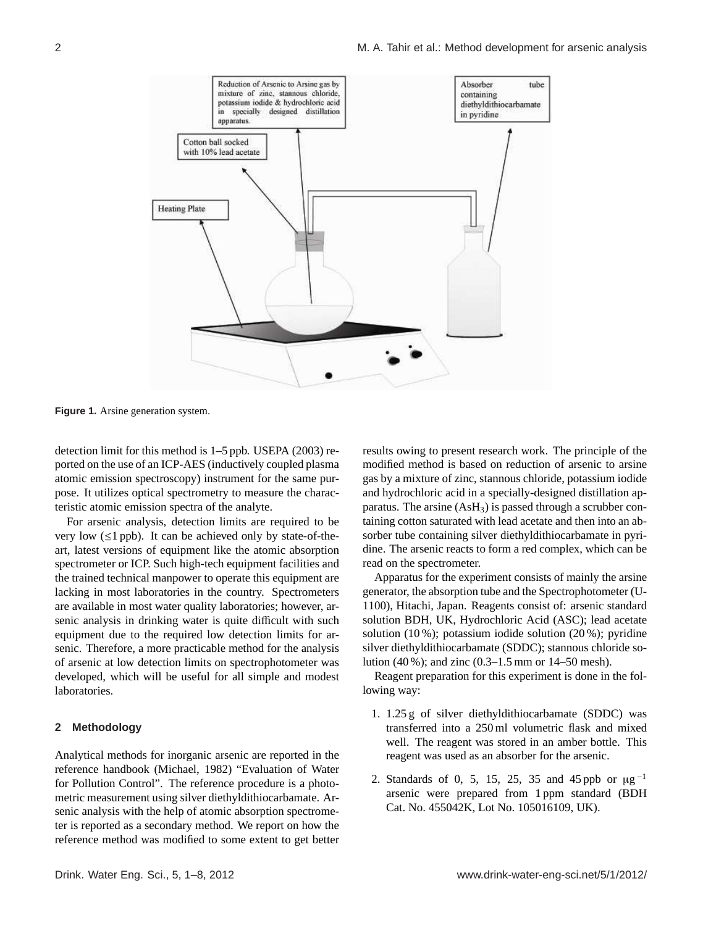

**Figure 1.** Arsine generation system.

detection limit for this method is 1–5 ppb. USEPA (2003) reported on the use of an ICP-AES (inductively coupled plasma atomic emission spectroscopy) instrument for the same purpose. It utilizes optical spectrometry to measure the characteristic atomic emission spectra of the analyte.

For arsenic analysis, detection limits are required to be very low  $(\leq 1$  ppb). It can be achieved only by state-of-theart, latest versions of equipment like the atomic absorption spectrometer or ICP. Such high-tech equipment facilities and the trained technical manpower to operate this equipment are lacking in most laboratories in the country. Spectrometers are available in most water quality laboratories; however, arsenic analysis in drinking water is quite difficult with such equipment due to the required low detection limits for arsenic. Therefore, a more practicable method for the analysis of arsenic at low detection limits on spectrophotometer was developed, which will be useful for all simple and modest laboratories.

## **2 Methodology**

Analytical methods for inorganic arsenic are reported in the reference handbook (Michael, 1982) "Evaluation of Water for Pollution Control". The reference procedure is a photometric measurement using silver diethyldithiocarbamate. Arsenic analysis with the help of atomic absorption spectrometer is reported as a secondary method. We report on how the reference method was modified to some extent to get better results owing to present research work. The principle of the modified method is based on reduction of arsenic to arsine gas by a mixture of zinc, stannous chloride, potassium iodide and hydrochloric acid in a specially-designed distillation apparatus. The arsine  $(AsH<sub>3</sub>)$  is passed through a scrubber containing cotton saturated with lead acetate and then into an absorber tube containing silver diethyldithiocarbamate in pyridine. The arsenic reacts to form a red complex, which can be read on the spectrometer.

Apparatus for the experiment consists of mainly the arsine generator, the absorption tube and the Spectrophotometer (U-1100), Hitachi, Japan. Reagents consist of: arsenic standard solution BDH, UK, Hydrochloric Acid (ASC); lead acetate solution (10 %); potassium iodide solution (20 %); pyridine silver diethyldithiocarbamate (SDDC); stannous chloride solution (40 %); and zinc (0.3–1.5 mm or 14–50 mesh).

Reagent preparation for this experiment is done in the following way:

- 1. 1.25 g of silver diethyldithiocarbamate (SDDC) was transferred into a 250 ml volumetric flask and mixed well. The reagent was stored in an amber bottle. This reagent was used as an absorber for the arsenic.
- 2. Standards of 0, 5, 15, 25, 35 and 45 ppb or  $\mu$ g<sup>-1</sup> arsenic were prepared from 1 ppm standard (BDH Cat. No. 455042K, Lot No. 105016109, UK).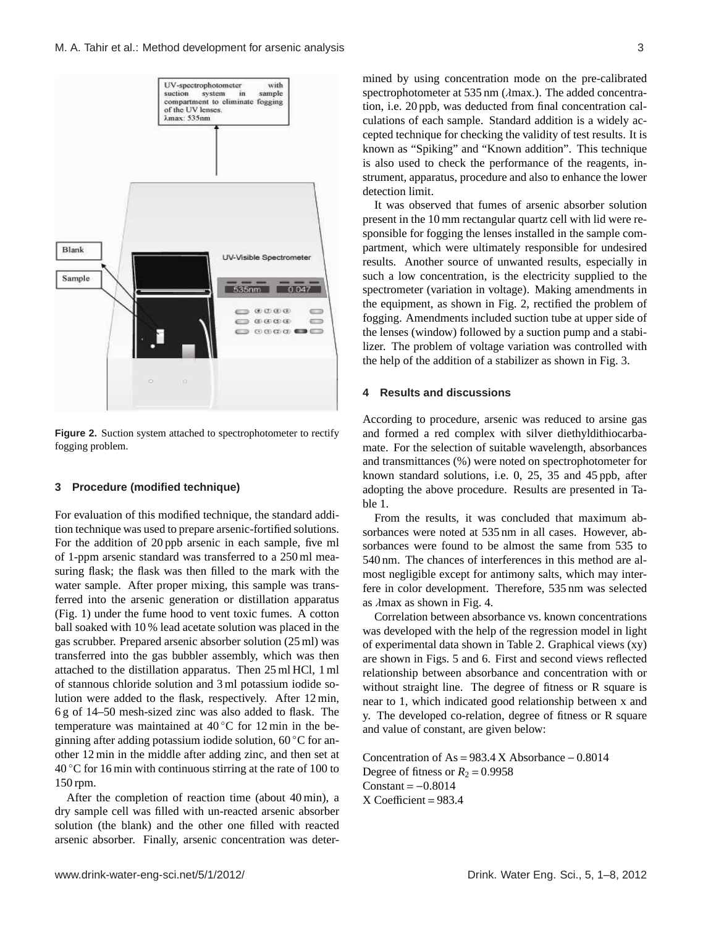

**Figure 2.** Suction system attached to spectrophotometer to rectify fogging problem.

#### **3 Procedure (modified technique)**

For evaluation of this modified technique, the standard addition technique was used to prepare arsenic-fortified solutions. For the addition of 20 ppb arsenic in each sample, five ml of 1-ppm arsenic standard was transferred to a 250 ml measuring flask; the flask was then filled to the mark with the water sample. After proper mixing, this sample was transferred into the arsenic generation or distillation apparatus (Fig. 1) under the fume hood to vent toxic fumes. A cotton ball soaked with 10 % lead acetate solution was placed in the gas scrubber. Prepared arsenic absorber solution (25 ml) was transferred into the gas bubbler assembly, which was then attached to the distillation apparatus. Then 25 ml HCl, 1 ml of stannous chloride solution and 3 ml potassium iodide solution were added to the flask, respectively. After 12 min, 6 g of 14–50 mesh-sized zinc was also added to flask. The temperature was maintained at 40 ℃ for 12 min in the beginning after adding potassium iodide solution, 60 ◦C for another 12 min in the middle after adding zinc, and then set at  $40^{\circ}$ C for 16 min with continuous stirring at the rate of 100 to 150 rpm.

After the completion of reaction time (about 40 min), a dry sample cell was filled with un-reacted arsenic absorber solution (the blank) and the other one filled with reacted arsenic absorber. Finally, arsenic concentration was determined by using concentration mode on the pre-calibrated spectrophotometer at 535 nm (λmax.). The added concentration, i.e. 20 ppb, was deducted from final concentration calculations of each sample. Standard addition is a widely accepted technique for checking the validity of test results. It is known as "Spiking" and "Known addition". This technique is also used to check the performance of the reagents, instrument, apparatus, procedure and also to enhance the lower detection limit.

It was observed that fumes of arsenic absorber solution present in the 10 mm rectangular quartz cell with lid were responsible for fogging the lenses installed in the sample compartment, which were ultimately responsible for undesired results. Another source of unwanted results, especially in such a low concentration, is the electricity supplied to the spectrometer (variation in voltage). Making amendments in the equipment, as shown in Fig. 2, rectified the problem of fogging. Amendments included suction tube at upper side of the lenses (window) followed by a suction pump and a stabilizer. The problem of voltage variation was controlled with the help of the addition of a stabilizer as shown in Fig. 3.

## **4 Results and discussions**

According to procedure, arsenic was reduced to arsine gas and formed a red complex with silver diethyldithiocarbamate. For the selection of suitable wavelength, absorbances and transmittances (%) were noted on spectrophotometer for known standard solutions, i.e. 0, 25, 35 and 45 ppb, after adopting the above procedure. Results are presented in Table 1.

From the results, it was concluded that maximum absorbances were noted at 535 nm in all cases. However, absorbances were found to be almost the same from 535 to 540 nm. The chances of interferences in this method are almost negligible except for antimony salts, which may interfere in color development. Therefore, 535 nm was selected as  $\lambda$ max as shown in Fig. 4.

Correlation between absorbance vs. known concentrations was developed with the help of the regression model in light of experimental data shown in Table 2. Graphical views (xy) are shown in Figs. 5 and 6. First and second views reflected relationship between absorbance and concentration with or without straight line. The degree of fitness or R square is near to 1, which indicated good relationship between x and y. The developed co-relation, degree of fitness or R square and value of constant, are given below:

Concentration of As =  $983.4$  X Absorbance – 0.8014 Degree of fitness or  $R_2 = 0.9958$  $Constant = -0.8014$  $X$  Coefficient = 983.4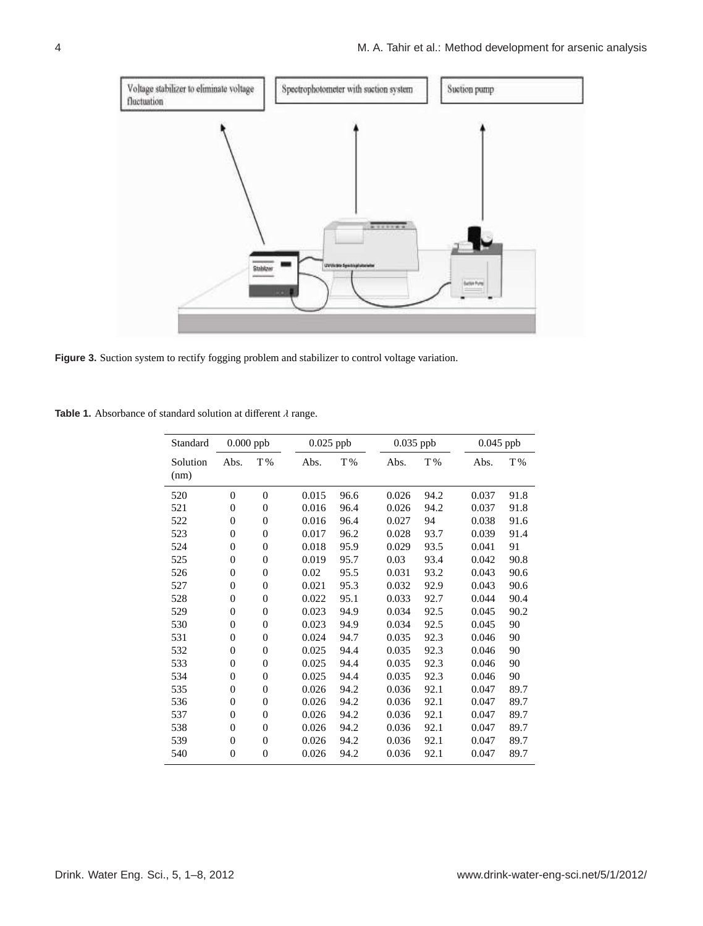

**Figure 3.** Suction system to rectify fogging problem and stabilizer to control voltage variation.

**Table 1.** Absorbance of standard solution at different λ range.

| Standard         |                  | $0.000$ ppb      | $0.025$ ppb |      | $0.035$ ppb |      | $0.045$ ppb |      |
|------------------|------------------|------------------|-------------|------|-------------|------|-------------|------|
| Solution<br>(nm) | Abs.             | T%               | Abs.        | T%   | Abs.        | T%   | Abs.        | T%   |
| 520              | $\overline{0}$   | $\overline{0}$   | 0.015       | 96.6 | 0.026       | 94.2 | 0.037       | 91.8 |
| 521              | $\overline{0}$   | $\overline{0}$   | 0.016       | 96.4 | 0.026       | 94.2 | 0.037       | 91.8 |
| 522              | $\overline{0}$   | $\overline{0}$   | 0.016       | 96.4 | 0.027       | 94   | 0.038       | 91.6 |
| 523              | $\overline{0}$   | $\overline{0}$   | 0.017       | 96.2 | 0.028       | 93.7 | 0.039       | 91.4 |
| 524              | $\overline{0}$   | $\boldsymbol{0}$ | 0.018       | 95.9 | 0.029       | 93.5 | 0.041       | 91   |
| 525              | $\overline{0}$   | $\overline{0}$   | 0.019       | 95.7 | 0.03        | 93.4 | 0.042       | 90.8 |
| 526              | $\boldsymbol{0}$ | $\boldsymbol{0}$ | 0.02        | 95.5 | 0.031       | 93.2 | 0.043       | 90.6 |
| 527              | $\overline{0}$   | $\overline{0}$   | 0.021       | 95.3 | 0.032       | 92.9 | 0.043       | 90.6 |
| 528              | $\overline{0}$   | $\boldsymbol{0}$ | 0.022       | 95.1 | 0.033       | 92.7 | 0.044       | 90.4 |
| 529              | $\overline{0}$   | $\overline{0}$   | 0.023       | 94.9 | 0.034       | 92.5 | 0.045       | 90.2 |
| 530              | $\overline{0}$   | $\overline{0}$   | 0.023       | 94.9 | 0.034       | 92.5 | 0.045       | 90   |
| 531              | $\overline{0}$   | $\overline{0}$   | 0.024       | 94.7 | 0.035       | 92.3 | 0.046       | 90   |
| 532              | $\overline{0}$   | $\overline{0}$   | 0.025       | 94.4 | 0.035       | 92.3 | 0.046       | 90   |
| 533              | $\overline{0}$   | $\overline{0}$   | 0.025       | 94.4 | 0.035       | 92.3 | 0.046       | 90   |
| 534              | $\overline{0}$   | $\overline{0}$   | 0.025       | 94.4 | 0.035       | 92.3 | 0.046       | 90   |
| 535              | $\overline{0}$   | $\overline{0}$   | 0.026       | 94.2 | 0.036       | 92.1 | 0.047       | 89.7 |
| 536              | $\overline{0}$   | $\overline{0}$   | 0.026       | 94.2 | 0.036       | 92.1 | 0.047       | 89.7 |
| 537              | $\overline{0}$   | $\boldsymbol{0}$ | 0.026       | 94.2 | 0.036       | 92.1 | 0.047       | 89.7 |
| 538              | $\overline{0}$   | $\overline{0}$   | 0.026       | 94.2 | 0.036       | 92.1 | 0.047       | 89.7 |
| 539              | $\overline{0}$   | $\overline{0}$   | 0.026       | 94.2 | 0.036       | 92.1 | 0.047       | 89.7 |
| 540              | $\overline{0}$   | $\overline{0}$   | 0.026       | 94.2 | 0.036       | 92.1 | 0.047       | 89.7 |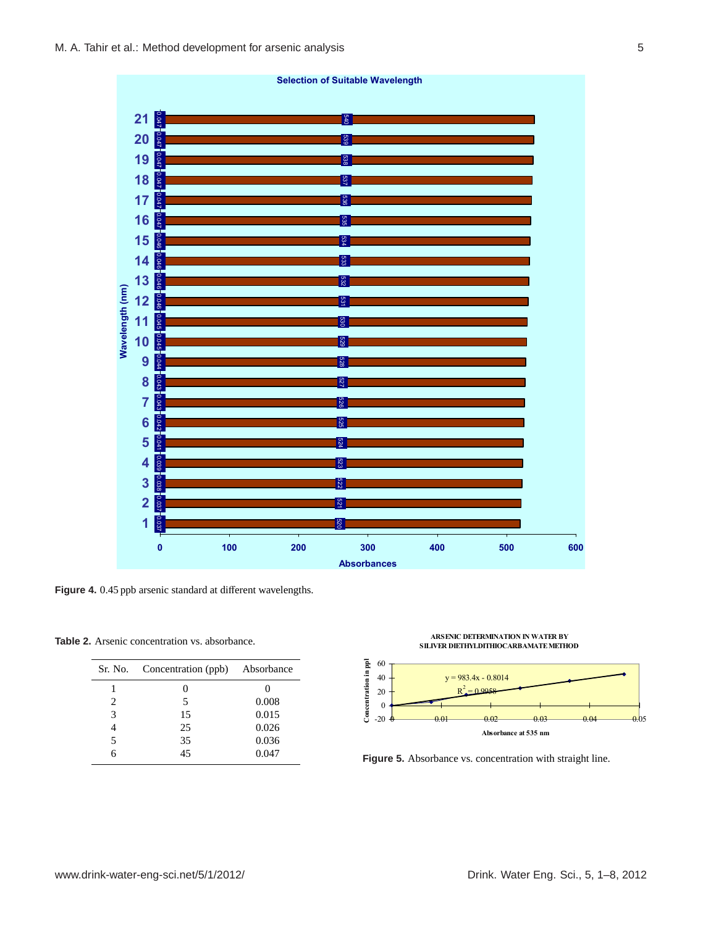

Figure 4. 0.45 ppb arsenic standard at different wavelengths.

**Table 2.** Arsenic concentration vs. absorbance.

|   | Sr. No. Concentration (ppb) | Absorbance |
|---|-----------------------------|------------|
|   |                             | $\theta$   |
| 2 | 5                           | 0.008      |
| 3 | 15                          | 0.015      |
|   | 25                          | 0.026      |
| 5 | 35                          | 0.036      |
| 6 | 45                          | 0.047      |



**Figure-5: Absorbance Vs. Concentration with Straight Line Figure 5.** Absorbance vs. concentration with straight line.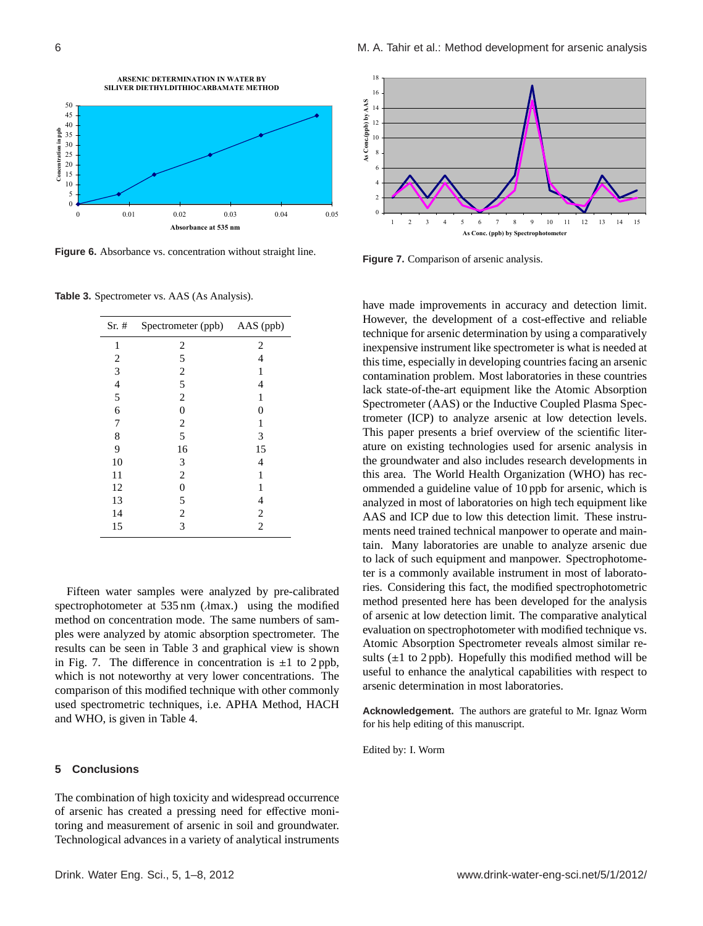

**Figure-6: Absorbance Vs. Concentration without Straight Line Figure 6.** Absorbance vs. concentration without straight line.

**Table 3.** Spectrometer vs. AAS (As Analysis).

| $Sr.$ #        | Spectrometer (ppb) AAS (ppb) |                |  |
|----------------|------------------------------|----------------|--|
| 1              | $\overline{c}$               | $\overline{c}$ |  |
| $\overline{c}$ | 5                            | 4              |  |
| 3              | $\overline{c}$               | 1              |  |
| $\frac{4}{5}$  | 5                            | 4              |  |
|                | $\mathbf{2}$                 | 1              |  |
| 6              | $\mathbf{0}$                 | 0              |  |
| 7              | $\overline{c}$               | 1              |  |
| 8              | 5                            | 3              |  |
| 9              | 16                           | 15             |  |
| 10             | 3                            | 4              |  |
| 11             | $\overline{c}$               | 1              |  |
| 12             | $\boldsymbol{0}$             | 1              |  |
| 13             | 5                            | 4              |  |
| 14             | $\overline{c}$               | $\overline{2}$ |  |
| 15             | 3                            | $\overline{2}$ |  |

Fifteen water samples were analyzed by pre-calibrated spectrophotometer at 535 nm (λmax.) using the modified method on concentration mode. The same numbers of samples were analyzed by atomic absorption spectrometer. The results can be seen in Table 3 and graphical view is shown in Fig. 7. The difference in concentration is  $\pm 1$  to 2 ppb, which is not noteworthy at very lower concentrations. The comparison of this modified technique with other commonly used spectrometric techniques, i.e. APHA Method, HACH and WHO, is given in Table 4.

## **5 Conclusions**

The combination of high toxicity and widespread occurrence of arsenic has created a pressing need for effective monitoring and measurement of arsenic in soil and groundwater. Technological advances in a variety of analytical instruments



**Figure 7.** Comparison of arsenic analysis.

have made improvements in accuracy and detection limit. However, the development of a cost-effective and reliable technique for arsenic determination by using a comparatively inexpensive instrument like spectrometer is what is needed at this time, especially in developing countries facing an arsenic contamination problem. Most laboratories in these countries lack state-of-the-art equipment like the Atomic Absorption Spectrometer (AAS) or the Inductive Coupled Plasma Spectrometer (ICP) to analyze arsenic at low detection levels. This paper presents a brief overview of the scientific literature on existing technologies used for arsenic analysis in the groundwater and also includes research developments in this area. The World Health Organization (WHO) has recommended a guideline value of 10 ppb for arsenic, which is analyzed in most of laboratories on high tech equipment like AAS and ICP due to low this detection limit. These instruments need trained technical manpower to operate and maintain. Many laboratories are unable to analyze arsenic due to lack of such equipment and manpower. Spectrophotometer is a commonly available instrument in most of laboratories. Considering this fact, the modified spectrophotometric method presented here has been developed for the analysis of arsenic at low detection limit. The comparative analytical evaluation on spectrophotometer with modified technique vs. Atomic Absorption Spectrometer reveals almost similar results  $(\pm 1$  to 2 ppb). Hopefully this modified method will be useful to enhance the analytical capabilities with respect to arsenic determination in most laboratories.

**Acknowledgement.** The authors are grateful to Mr. Ignaz Worm for his help editing of this manuscript.

Edited by: I. Worm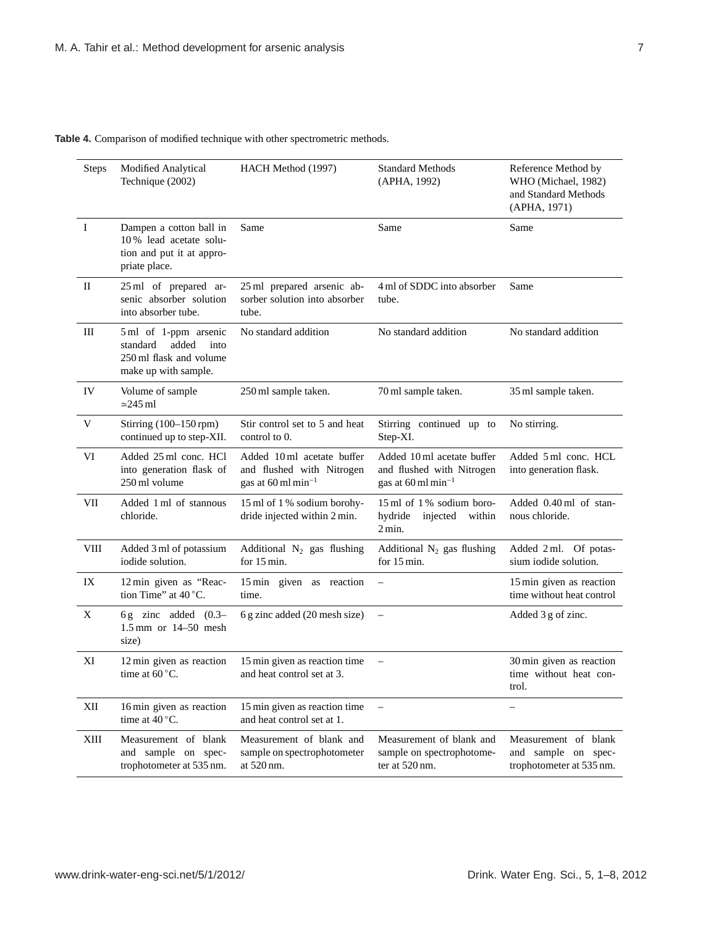**Table 4.** Comparison of modified technique with other spectrometric methods.

| <b>Steps</b> | <b>Modified Analytical</b><br>Technique (2002)                                                        | HACH Method (1997)                                                                                       | <b>Standard Methods</b><br>(APHA, 1992)                                                    | Reference Method by<br>WHO (Michael, 1982)<br>and Standard Methods<br>(APHA, 1971) |
|--------------|-------------------------------------------------------------------------------------------------------|----------------------------------------------------------------------------------------------------------|--------------------------------------------------------------------------------------------|------------------------------------------------------------------------------------|
| Ι.           | Dampen a cotton ball in<br>10% lead acetate solu-<br>tion and put it at appro-<br>priate place.       | Same                                                                                                     | Same                                                                                       | Same                                                                               |
| $\mathbf{I}$ | 25 ml of prepared ar-<br>senic absorber solution<br>into absorber tube.                               | 25 ml prepared arsenic ab-<br>sorber solution into absorber<br>tube.                                     | 4 ml of SDDC into absorber<br>tube.                                                        | Same                                                                               |
| Ш            | 5 ml of 1-ppm arsenic<br>added<br>standard<br>into<br>250 ml flask and volume<br>make up with sample. | No standard addition                                                                                     | No standard addition                                                                       | No standard addition                                                               |
| IV           | Volume of sample<br>$\simeq$ 245 ml                                                                   | 250 ml sample taken.                                                                                     | 70 ml sample taken.                                                                        | 35 ml sample taken.                                                                |
| V            | Stirring (100-150 rpm)<br>continued up to step-XII.                                                   | Stir control set to 5 and heat<br>control to 0.                                                          | Stirring continued up to<br>Step-XI.                                                       | No stirring.                                                                       |
| VI           | Added 25 ml conc. HCl<br>into generation flask of<br>250 ml volume                                    | Added 10 ml acetate buffer<br>and flushed with Nitrogen<br>gas at $60 \,\mathrm{ml} \,\mathrm{min}^{-1}$ | Added 10 ml acetate buffer<br>and flushed with Nitrogen<br>gas at $60 \text{ ml min}^{-1}$ | Added 5 ml conc. HCL<br>into generation flask.                                     |
| <b>VII</b>   | Added 1 ml of stannous<br>chloride.                                                                   | 15 ml of 1% sodium borohy-<br>dride injected within 2 min.                                               | 15 ml of 1% sodium boro-<br>hydride<br>injected<br>within<br>$2 \text{ min.}$              | Added 0.40 ml of stan-<br>nous chloride.                                           |
| <b>VIII</b>  | Added 3 ml of potassium<br>iodide solution.                                                           | Additional $N_2$ gas flushing<br>for 15 min.                                                             | Additional $N_2$ gas flushing<br>for 15 min.                                               | Added 2 ml. Of potas-<br>sium iodide solution.                                     |
| IX           | 12 min given as "Reac-<br>tion Time" at 40 °C.                                                        | 15 min given as reaction<br>time.                                                                        | $\qquad \qquad -$                                                                          | 15 min given as reaction<br>time without heat control                              |
| X            | 6 g zinc added $(0.3-$<br>$1.5 \text{ mm}$ or $14 - 50 \text{ mesh}$<br>size)                         | 6 g zinc added (20 mesh size)                                                                            | $\qquad \qquad -$                                                                          | Added 3 g of zinc.                                                                 |
| XI           | 12 min given as reaction<br>time at $60^{\circ}$ C.                                                   | 15 min given as reaction time<br>and heat control set at 3.                                              | $\overline{\phantom{m}}$                                                                   | 30 min given as reaction<br>time without heat con-<br>trol.                        |
| XII          | 16 min given as reaction<br>time at $40^{\circ}$ C.                                                   | 15 min given as reaction time<br>and heat control set at 1.                                              | $\qquad \qquad -$                                                                          | $\overline{\phantom{0}}$                                                           |
| XIII         | Measurement of blank<br>and sample on spec-<br>trophotometer at 535 nm.                               | Measurement of blank and<br>sample on spectrophotometer<br>at 520 nm.                                    | Measurement of blank and<br>sample on spectrophotome-<br>ter at 520 nm.                    | Measurement of blank<br>and sample on spec-<br>trophotometer at 535 nm.            |